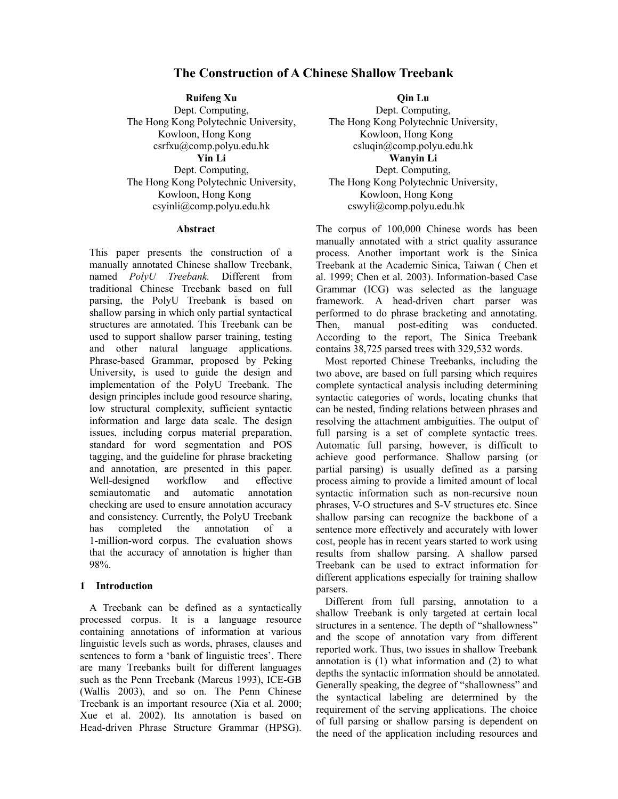# **The Construction of A Chinese Shallow Treebank**

**Ruifeng Xu**  Dept. Computing, The Hong Kong Polytechnic University, Kowloon, Hong Kong csrfxu@comp.polyu.edu.hk **Yin Li**  Dept. Computing, The Hong Kong Polytechnic University, Kowloon, Hong Kong csyinli@comp.polyu.edu.hk

#### **Abstract**

This paper presents the construction of a manually annotated Chinese shallow Treebank, named *PolyU Treebank.* Different from traditional Chinese Treebank based on full parsing, the PolyU Treebank is based on shallow parsing in which only partial syntactical structures are annotated. This Treebank can be used to support shallow parser training, testing and other natural language applications. Phrase-based Grammar, proposed by Peking University, is used to guide the design and implementation of the PolyU Treebank. The design principles include good resource sharing, low structural complexity, sufficient syntactic information and large data scale. The design issues, including corpus material preparation, standard for word segmentation and POS tagging, and the guideline for phrase bracketing and annotation, are presented in this paper. Well-designed workflow and effective semiautomatic and automatic annotation checking are used to ensure annotation accuracy and consistency. Currently, the PolyU Treebank has completed the annotation of a 1-million-word corpus. The evaluation shows that the accuracy of annotation is higher than 98%.

#### **1 Introduction**

A Treebank can be defined as a syntactically processed corpus. It is a language resource containing annotations of information at various linguistic levels such as words, phrases, clauses and sentences to form a 'bank of linguistic trees'. There are many Treebanks built for different languages such as the Penn Treebank (Marcus 1993), ICE-GB (Wallis 2003), and so on. The Penn Chinese Treebank is an important resource (Xia et al. 2000; Xue et al. 2002). Its annotation is based on Head-driven Phrase Structure Grammar (HPSG).

**Qin Lu**  Dept. Computing, The Hong Kong Polytechnic University, Kowloon, Hong Kong csluqin@comp.polyu.edu.hk **Wanyin Li**  Dept. Computing, The Hong Kong Polytechnic University, Kowloon, Hong Kong cswyli@comp.polyu.edu.hk

The corpus of 100,000 Chinese words has been manually annotated with a strict quality assurance process. Another important work is the Sinica Treebank at the Academic Sinica, Taiwan ( Chen et al. 1999; Chen et al. 2003). Information-based Case Grammar (ICG) was selected as the language framework. A head-driven chart parser was performed to do phrase bracketing and annotating. Then, manual post-editing was conducted. According to the report, The Sinica Treebank contains 38,725 parsed trees with 329,532 words.

Most reported Chinese Treebanks, including the two above, are based on full parsing which requires complete syntactical analysis including determining syntactic categories of words, locating chunks that can be nested, finding relations between phrases and resolving the attachment ambiguities. The output of full parsing is a set of complete syntactic trees. Automatic full parsing, however, is difficult to achieve good performance. Shallow parsing (or partial parsing) is usually defined as a parsing process aiming to provide a limited amount of local syntactic information such as non-recursive noun phrases, V-O structures and S-V structures etc. Since shallow parsing can recognize the backbone of a sentence more effectively and accurately with lower cost, people has in recent years started to work using results from shallow parsing. A shallow parsed Treebank can be used to extract information for different applications especially for training shallow parsers.

Different from full parsing, annotation to a shallow Treebank is only targeted at certain local structures in a sentence. The depth of "shallowness" and the scope of annotation vary from different reported work. Thus, two issues in shallow Treebank annotation is (1) what information and (2) to what depths the syntactic information should be annotated. Generally speaking, the degree of "shallowness" and the syntactical labeling are determined by the requirement of the serving applications. The choice of full parsing or shallow parsing is dependent on the need of the application including resources and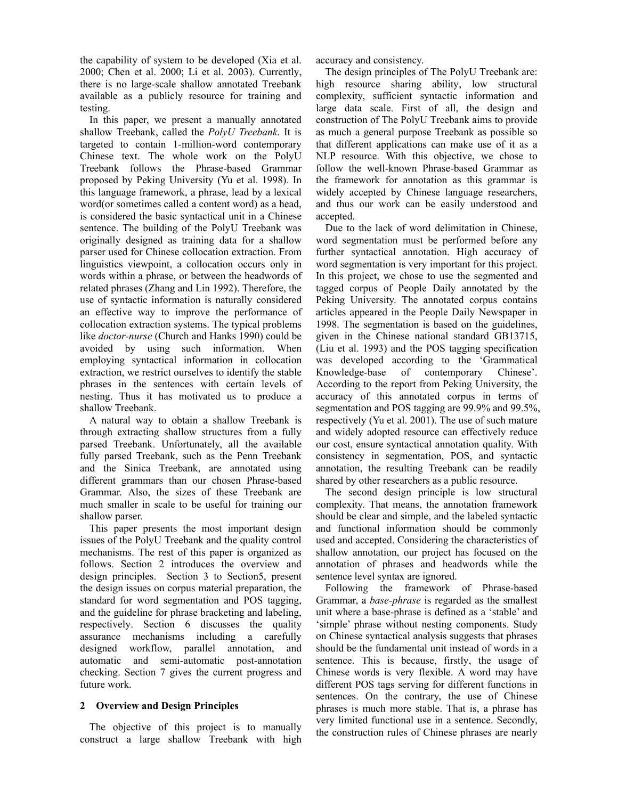the capability of system to be developed (Xia et al. 2000; Chen et al. 2000; Li et al. 2003). Currently, there is no large-scale shallow annotated Treebank available as a publicly resource for training and testing.

In this paper, we present a manually annotated shallow Treebank, called the *PolyU Treebank*. It is targeted to contain 1-million-word contemporary Chinese text. The whole work on the PolyU Treebank follows the Phrase-based Grammar proposed by Peking University (Yu et al. 1998). In this language framework, a phrase, lead by a lexical word(or sometimes called a content word) as a head, is considered the basic syntactical unit in a Chinese sentence. The building of the PolyU Treebank was originally designed as training data for a shallow parser used for Chinese collocation extraction. From linguistics viewpoint, a collocation occurs only in words within a phrase, or between the headwords of related phrases (Zhang and Lin 1992). Therefore, the use of syntactic information is naturally considered an effective way to improve the performance of collocation extraction systems. The typical problems like *doctor-nurse* (Church and Hanks 1990) could be avoided by using such information. When employing syntactical information in collocation extraction, we restrict ourselves to identify the stable phrases in the sentences with certain levels of nesting. Thus it has motivated us to produce a shallow Treebank.

A natural way to obtain a shallow Treebank is through extracting shallow structures from a fully parsed Treebank. Unfortunately, all the available fully parsed Treebank, such as the Penn Treebank and the Sinica Treebank, are annotated using different grammars than our chosen Phrase-based Grammar. Also, the sizes of these Treebank are much smaller in scale to be useful for training our shallow parser.

This paper presents the most important design issues of the PolyU Treebank and the quality control mechanisms. The rest of this paper is organized as follows. Section 2 introduces the overview and design principles. Section 3 to Section5, present the design issues on corpus material preparation, the standard for word segmentation and POS tagging, and the guideline for phrase bracketing and labeling, respectively. Section 6 discusses the quality assurance mechanisms including a carefully designed workflow, parallel annotation, and automatic and semi-automatic post-annotation checking. Section 7 gives the current progress and future work.

# **2 Overview and Design Principles**

The objective of this project is to manually construct a large shallow Treebank with high accuracy and consistency.

The design principles of The PolyU Treebank are: high resource sharing ability, low structural complexity, sufficient syntactic information and large data scale. First of all, the design and construction of The PolyU Treebank aims to provide as much a general purpose Treebank as possible so that different applications can make use of it as a NLP resource. With this objective, we chose to follow the well-known Phrase-based Grammar as the framework for annotation as this grammar is widely accepted by Chinese language researchers, and thus our work can be easily understood and accepted.

Due to the lack of word delimitation in Chinese, word segmentation must be performed before any further syntactical annotation. High accuracy of word segmentation is very important for this project. In this project, we chose to use the segmented and tagged corpus of People Daily annotated by the Peking University. The annotated corpus contains articles appeared in the People Daily Newspaper in 1998. The segmentation is based on the guidelines, given in the Chinese national standard GB13715, (Liu et al. 1993) and the POS tagging specification was developed according to the 'Grammatical Knowledge-base of contemporary Chinese'. According to the report from Peking University, the accuracy of this annotated corpus in terms of segmentation and POS tagging are 99.9% and 99.5%, respectively (Yu et al. 2001). The use of such mature and widely adopted resource can effectively reduce our cost, ensure syntactical annotation quality. With consistency in segmentation, POS, and syntactic annotation, the resulting Treebank can be readily shared by other researchers as a public resource.

The second design principle is low structural complexity. That means, the annotation framework should be clear and simple, and the labeled syntactic and functional information should be commonly used and accepted. Considering the characteristics of shallow annotation, our project has focused on the annotation of phrases and headwords while the sentence level syntax are ignored.

Following the framework of Phrase-based Grammar, a *base-phrase* is regarded as the smallest unit where a base-phrase is defined as a 'stable' and 'simple' phrase without nesting components. Study on Chinese syntactical analysis suggests that phrases should be the fundamental unit instead of words in a sentence. This is because, firstly, the usage of Chinese words is very flexible. A word may have different POS tags serving for different functions in sentences. On the contrary, the use of Chinese phrases is much more stable. That is, a phrase has very limited functional use in a sentence. Secondly, the construction rules of Chinese phrases are nearly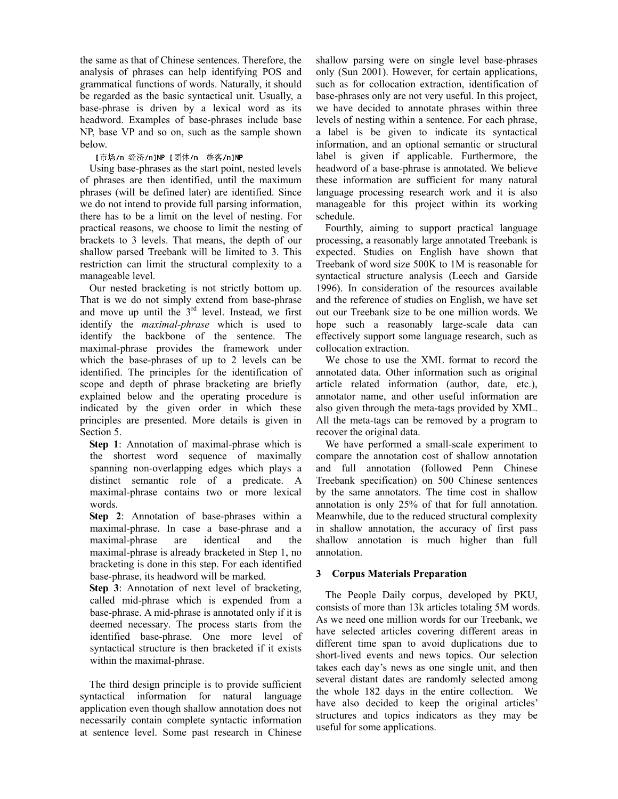the same as that of Chinese sentences. Therefore, the analysis of phrases can help identifying POS and grammatical functions of words. Naturally, it should be regarded as the basic syntactical unit. Usually, a base-phrase is driven by a lexical word as its headword. Examples of base-phrases include base NP, base VP and so on, such as the sample shown below.

# [市场/n 经济/n]NP [团体/n 旅客/n]NP

Using base-phrases as the start point, nested levels of phrases are then identified, until the maximum phrases (will be defined later) are identified. Since we do not intend to provide full parsing information, there has to be a limit on the level of nesting. For practical reasons, we choose to limit the nesting of brackets to 3 levels. That means, the depth of our shallow parsed Treebank will be limited to 3. This restriction can limit the structural complexity to a manageable level.

Our nested bracketing is not strictly bottom up. That is we do not simply extend from base-phrase and move up until the  $3<sup>rd</sup>$  level. Instead, we first identify the *maximal-phrase* which is used to identify the backbone of the sentence. The maximal-phrase provides the framework under which the base-phrases of up to 2 levels can be identified. The principles for the identification of scope and depth of phrase bracketing are briefly explained below and the operating procedure is indicated by the given order in which these principles are presented. More details is given in Section 5.

**Step 1**: Annotation of maximal-phrase which is the shortest word sequence of maximally spanning non-overlapping edges which plays a distinct semantic role of a predicate. A maximal-phrase contains two or more lexical words.

**Step 2**: Annotation of base-phrases within a maximal-phrase. In case a base-phrase and a maximal-phrase are identical and the maximal-phrase is already bracketed in Step 1, no bracketing is done in this step. For each identified base-phrase, its headword will be marked.

**Step 3**: Annotation of next level of bracketing, called mid-phrase which is expended from a base-phrase. A mid-phrase is annotated only if it is deemed necessary. The process starts from the identified base-phrase. One more level of syntactical structure is then bracketed if it exists within the maximal-phrase.

The third design principle is to provide sufficient syntactical information for natural language application even though shallow annotation does not necessarily contain complete syntactic information at sentence level. Some past research in Chinese shallow parsing were on single level base-phrases only (Sun 2001). However, for certain applications, such as for collocation extraction, identification of base-phrases only are not very useful. In this project, we have decided to annotate phrases within three levels of nesting within a sentence. For each phrase, a label is be given to indicate its syntactical information, and an optional semantic or structural label is given if applicable. Furthermore, the headword of a base-phrase is annotated. We believe these information are sufficient for many natural language processing research work and it is also manageable for this project within its working schedule.

Fourthly, aiming to support practical language processing, a reasonably large annotated Treebank is expected. Studies on English have shown that Treebank of word size 500K to 1M is reasonable for syntactical structure analysis (Leech and Garside 1996). In consideration of the resources available and the reference of studies on English, we have set out our Treebank size to be one million words. We hope such a reasonably large-scale data can effectively support some language research, such as collocation extraction.

We chose to use the XML format to record the annotated data. Other information such as original article related information (author, date, etc.), annotator name, and other useful information are also given through the meta-tags provided by XML. All the meta-tags can be removed by a program to recover the original data.

We have performed a small-scale experiment to compare the annotation cost of shallow annotation and full annotation (followed Penn Chinese Treebank specification) on 500 Chinese sentences by the same annotators. The time cost in shallow annotation is only 25% of that for full annotation. Meanwhile, due to the reduced structural complexity in shallow annotation, the accuracy of first pass shallow annotation is much higher than full annotation.

# **3 Corpus Materials Preparation**

The People Daily corpus, developed by PKU, consists of more than 13k articles totaling 5M words. As we need one million words for our Treebank, we have selected articles covering different areas in different time span to avoid duplications due to short-lived events and news topics. Our selection takes each day's news as one single unit, and then several distant dates are randomly selected among the whole 182 days in the entire collection. We have also decided to keep the original articles' structures and topics indicators as they may be useful for some applications.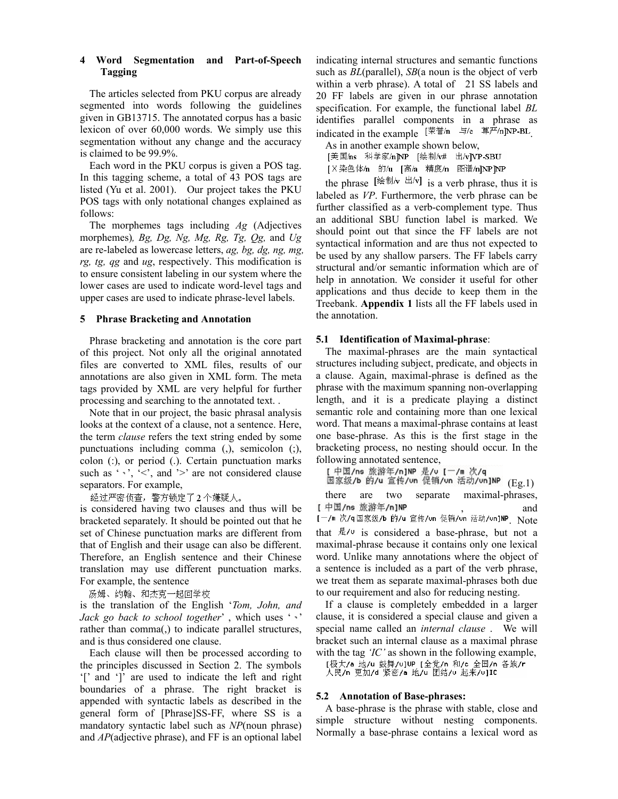# **4 Word Segmentation and Part-of-Speech Tagging**

The articles selected from PKU corpus are already segmented into words following the guidelines given in GB13715. The annotated corpus has a basic lexicon of over 60,000 words. We simply use this segmentation without any change and the accuracy is claimed to be 99.9%.

Each word in the PKU corpus is given a POS tag. In this tagging scheme, a total of 43 POS tags are listed (Yu et al. 2001). Our project takes the PKU POS tags with only notational changes explained as follows:

The morphemes tags including *Ag* (Adjectives morphemes)*, Bg, Dg, Ng, Mg, Rg, Tg, Qg,* and *Ug* are re-labeled as lowercase letters, *ag, bg, dg, ng, mg, rg, tg, qg* and *ug*, respectively. This modification is to ensure consistent labeling in our system where the lower cases are used to indicate word-level tags and upper cases are used to indicate phrase-level labels.

# **5 Phrase Bracketing and Annotation**

Phrase bracketing and annotation is the core part of this project. Not only all the original annotated files are converted to XML files, results of our annotations are also given in XML form. The meta tags provided by XML are very helpful for further processing and searching to the annotated text. .

Note that in our project, the basic phrasal analysis looks at the context of a clause, not a sentence. Here, the term *clause* refers the text string ended by some punctuations including comma (,), semicolon (;), colon (:), or period (.). Certain punctuation marks such as ' ', '<', and '>' are not considered clause separators. For example,

经过严密侦查,警方锁定了2个嫌疑人。<br>is considered having two clauses and thus will be bracketed separately. It should be pointed out that he set of Chinese punctuation marks are different from that of English and their usage can also be different. Therefore, an English sentence and their Chinese translation may use different punctuation marks. For example, the sentence

汤姆、约翰、和杰克一起回学校

is the translation of the English '*Tom, John, and Jack go back to school together'*, which uses ',' rather than comma(,) to indicate parallel structures, and is thus considered one clause.

Each clause will then be processed according to the principles discussed in Section 2. The symbols '[' and ']' are used to indicate the left and right boundaries of a phrase. The right bracket is appended with syntactic labels as described in the general form of [Phrase]SS-FF, where SS is a mandatory syntactic label such as *NP*(noun phrase) and *AP*(adjective phrase), and FF is an optional label

indicating internal structures and semantic functions such as *BL*(parallel), *SB*(a noun is the object of verb within a verb phrase). A total of 21 SS labels and 20 FF labels are given in our phrase annotation specification. For example, the functional label *BL* identifies parallel components in a phrase as indicated in the example  $[\ddot{\mathbb{R}}^{\ddot{\mathbb{Z}}}/n] \rightarrow$   $[\ddot{\mathbb{R}}^{\ddot{\mathbb{Z}}}/n]$ NP-BL

As in another example shown below,<br>[美国/ns 科学家/n NP [绘制/v# 出/v ] VP-SBU [X染色体/n 的/u [高/a 精度/n 图谱/n]NPJNP

the phrase  $\left[\frac{1}{2} \pm i \sqrt{v}\right]$  is a verb phrase, thus it is labeled as *VP*. Furthermore, the verb phrase can be further classified as a verb-complement type. Thus an additional SBU function label is marked. We should point out that since the FF labels are not syntactical information and are thus not expected to be used by any shallow parsers. The FF labels carry structural and/or semantic information which are of help in annotation. We consider it useful for other applications and thus decide to keep them in the Treebank. **Appendix 1** lists all the FF labels used in the annotation.

# **5.1 Identification of Maximal-phrase**:

The maximal-phrases are the main syntactical structures including subject, predicate, and objects in a clause. Again, maximal-phrase is defined as the phrase with the maximum spanning non-overlapping length, and it is a predicate playing a distinct semantic role and containing more than one lexical word. That means a maximal-phrase contains at least one base-phrase. As this is the first stage in the bracketing process, no nesting should occur. In the following annotated sentence,

[中国/ns 旅游年/n]NP 是/v [一/m 次/q

园家级/b 的/u 宣传/vn 促销/vn 活动/vn]NP (Eg.1) there are two separate maximal-phrases, [中国/ns 旅游年/n]NP , and . Note that  $\frac{1}{k}$  / $\vee$  is considered a base-phrase, but not a maximal-phrase because it contains only one lexical word. Unlike many annotations where the object of a sentence is included as a part of the verb phrase, we treat them as separate maximal-phrases both due to our requirement and also for reducing nesting.

If a clause is completely embedded in a larger clause, it is considered a special clause and given a special name called an *internal clause* . We will bracket such an internal clause as a maximal phrase with the tag *'IC'* as shown in the following example,

[极大/a 地/u 鼓舞/v]UP [全党/n 和/c 全国/n 各族/r

# 人民/n 更加/d 紧密/a 地/u 团结/u 起来/u]IC

#### **5.2 Annotation of Base-phrases:**

A base-phrase is the phrase with stable, close and simple structure without nesting components. Normally a base-phrase contains a lexical word as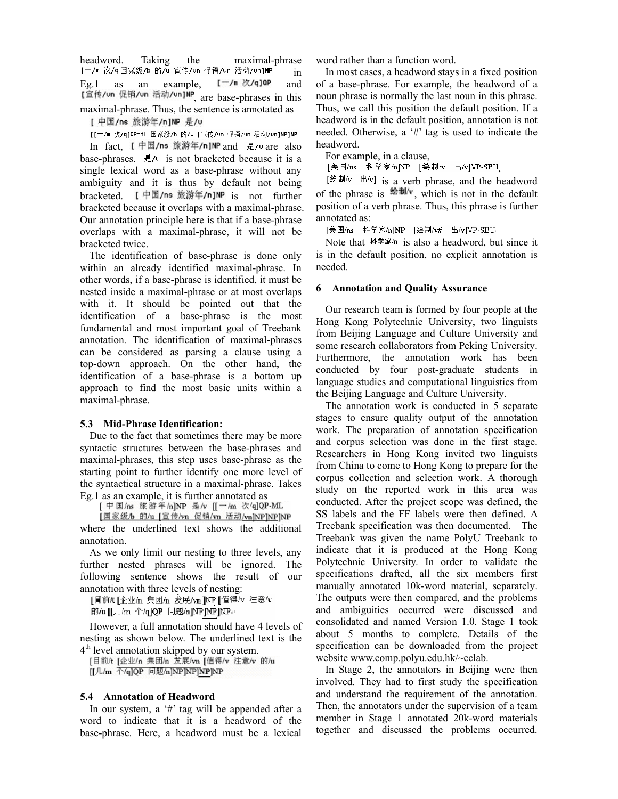headword. Taking the maximal-phrase<br>[-/m 次/q国家级/b 的/u 宣传/vn 促销/vn 活动/vn]NP in in Eg.1 as an example,  $[-/n \times q]$ op and [宣传/un 促销/un 活动/un]NP<sub>, are</sub> base-phrases in this maximal-phrase. Thus, the sentence is annotated as

[ 中国/ns 旅游年/n]NP 是/u

[[-/m 次/q]QP-ML 国家级/b 的/u [宣传/un 促销/un 活动/un]NP]NP

In fact,  $I \oplus \mathbb{Z}/\mathsf{ns}$  旅游年/n]NP and 是/v are also base-phrases.  $\frac{1}{2}$  / $\frac{1}{2}$  is not bracketed because it is a single lexical word as a base-phrase without any ambiguity and it is thus by default not being bracketed. I 中国/ns 旅游年/n]NP is not further bracketed because it overlaps with a maximal-phrase. Our annotation principle here is that if a base-phrase overlaps with a maximal-phrase, it will not be bracketed twice.

The identification of base-phrase is done only within an already identified maximal-phrase. In other words, if a base-phrase is identified, it must be nested inside a maximal-phrase or at most overlaps with it. It should be pointed out that the identification of a base-phrase is the most fundamental and most important goal of Treebank annotation. The identification of maximal-phrases can be considered as parsing a clause using a top-down approach. On the other hand, the identification of a base-phrase is a bottom up approach to find the most basic units within a maximal-phrase.

# **5.3 Mid-Phrase Identification:**

Due to the fact that sometimes there may be more syntactic structures between the base-phrases and maximal-phrases, this step uses base-phrase as the starting point to further identify one more level of the syntactical structure in a maximal-phrase. Takes

Eg.1 as an example, it is further annotated as<br>[  $\neq \mathbb{E}/\text{ns}$  is  $\mathbb{E} \neq \mathbb{E}/\text{snr}$   $\neq \mathbb{E}/\text{snr}$  [  $\leftarrow$  /m  $\mathbb{E}/\text{snr}$  202PML

[国家级/b 的/u [宣传/vn 促销/vn 活动/vn]NP]NP]NP

where the underlined text shows the additional annotation.

As we only limit our nesting to three levels, any further nested phrases will be ignored. The following sentence shows the result of our annotation with three levels of nesting:

[目前/t [企业/n 集团/n 发展/vn]NP [值得/v 注意/v

前/u [[几/m 个/q]QP 问题/n]NP]NP+<br>However, a full annotation should have 4 levels of nesting as shown below. The underlined text is the

 $4<sup>th</sup>$  level annotation skipped by our system.<br>[目前# [企业/n 集团/n 发展/vn [值得/v 注意/v 的/u [[几/m 个/q]QP 问题/n]NP]NP]NP]NP

# **5.4 Annotation of Headword**

In our system, a '#' tag will be appended after a word to indicate that it is a headword of the base-phrase. Here, a headword must be a lexical

word rather than a function word.

In most cases, a headword stays in a fixed position of a base-phrase. For example, the headword of a noun phrase is normally the last noun in this phrase. Thus, we call this position the default position. If a headword is in the default position, annotation is not needed. Otherwise, a '#' tag is used to indicate the headword.

For example, in a clause,

[美国/ns 科学家/n]NP [绘制/v 出/v]VP-SBU

 $\frac{1}{2}$  is a verb phrase, and the headword of the phrase is  $\frac{d}{dx}$  which is not in the default position of a verb phrase. Thus, this phrase is further annotated as:

[美国/ns 科学家/n]NP [绘制/v# 出/v]VP-SBU<br>Note that 科学家/n is also a headword, but since it is in the default position, no explicit annotation is needed.

# **6 Annotation and Quality Assurance**

Our research team is formed by four people at the Hong Kong Polytechnic University, two linguists from Beijing Language and Culture University and some research collaborators from Peking University. Furthermore, the annotation work has been conducted by four post-graduate students in language studies and computational linguistics from the Beijing Language and Culture University.

The annotation work is conducted in 5 separate stages to ensure quality output of the annotation work. The preparation of annotation specification and corpus selection was done in the first stage. Researchers in Hong Kong invited two linguists from China to come to Hong Kong to prepare for the corpus collection and selection work. A thorough study on the reported work in this area was conducted. After the project scope was defined, the SS labels and the FF labels were then defined. A Treebank specification was then documented. The Treebank was given the name PolyU Treebank to indicate that it is produced at the Hong Kong Polytechnic University. In order to validate the specifications drafted, all the six members first manually annotated 10k-word material, separately. The outputs were then compared, and the problems and ambiguities occurred were discussed and consolidated and named Version 1.0. Stage 1 took about 5 months to complete. Details of the specification can be downloaded from the project website www.comp.polyu.edu.hk/~cclab.

In Stage 2, the annotators in Beijing were then involved. They had to first study the specification and understand the requirement of the annotation. Then, the annotators under the supervision of a team member in Stage 1 annotated 20k-word materials together and discussed the problems occurred.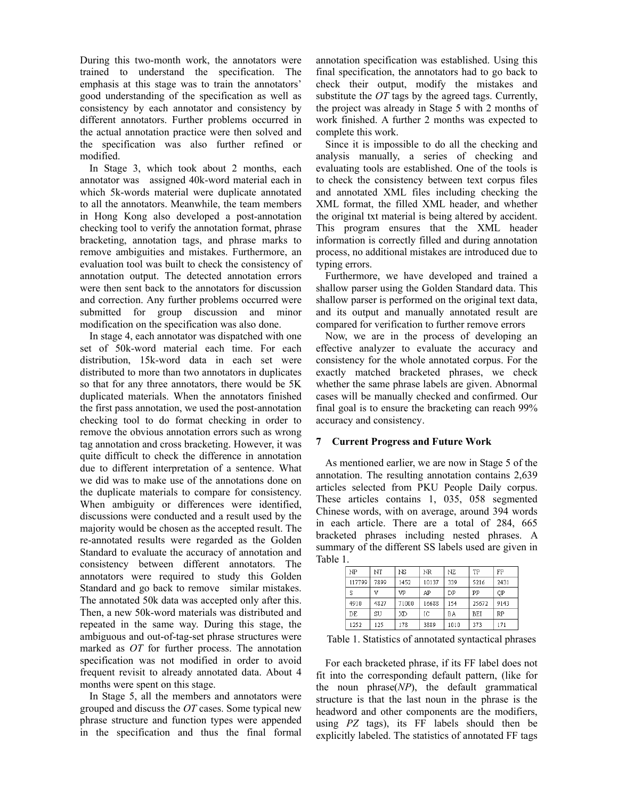During this two-month work, the annotators were trained to understand the specification. The emphasis at this stage was to train the annotators' good understanding of the specification as well as consistency by each annotator and consistency by different annotators. Further problems occurred in the actual annotation practice were then solved and the specification was also further refined or modified.

In Stage 3, which took about 2 months, each annotator was assigned 40k-word material each in which 5k-words material were duplicate annotated to all the annotators. Meanwhile, the team members in Hong Kong also developed a post-annotation checking tool to verify the annotation format, phrase bracketing, annotation tags, and phrase marks to remove ambiguities and mistakes. Furthermore, an evaluation tool was built to check the consistency of annotation output. The detected annotation errors were then sent back to the annotators for discussion and correction. Any further problems occurred were submitted for group discussion and minor modification on the specification was also done.

In stage 4, each annotator was dispatched with one set of 50k-word material each time. For each distribution, 15k-word data in each set were distributed to more than two annotators in duplicates so that for any three annotators, there would be 5K duplicated materials. When the annotators finished the first pass annotation, we used the post-annotation checking tool to do format checking in order to remove the obvious annotation errors such as wrong tag annotation and cross bracketing. However, it was quite difficult to check the difference in annotation due to different interpretation of a sentence. What we did was to make use of the annotations done on the duplicate materials to compare for consistency. When ambiguity or differences were identified, discussions were conducted and a result used by the majority would be chosen as the accepted result. The re-annotated results were regarded as the Golden Standard to evaluate the accuracy of annotation and consistency between different annotators. The annotators were required to study this Golden Standard and go back to remove similar mistakes. The annotated 50k data was accepted only after this. Then, a new 50k-word materials was distributed and repeated in the same way. During this stage, the ambiguous and out-of-tag-set phrase structures were marked as *OT* for further process. The annotation specification was not modified in order to avoid frequent revisit to already annotated data. About 4 months were spent on this stage.

In Stage 5, all the members and annotators were grouped and discuss the *OT* cases. Some typical new phrase structure and function types were appended in the specification and thus the final formal annotation specification was established. Using this final specification, the annotators had to go back to check their output, modify the mistakes and substitute the *OT* tags by the agreed tags. Currently, the project was already in Stage 5 with 2 months of work finished. A further 2 months was expected to complete this work.

Since it is impossible to do all the checking and analysis manually, a series of checking and evaluating tools are established. One of the tools is to check the consistency between text corpus files and annotated XML files including checking the XML format, the filled XML header, and whether the original txt material is being altered by accident. This program ensures that the XML header information is correctly filled and during annotation process, no additional mistakes are introduced due to typing errors.

Furthermore, we have developed and trained a shallow parser using the Golden Standard data. This shallow parser is performed on the original text data, and its output and manually annotated result are compared for verification to further remove errors

Now, we are in the process of developing an effective analyzer to evaluate the accuracy and consistency for the whole annotated corpus. For the exactly matched bracketed phrases, we check whether the same phrase labels are given. Abnormal cases will be manually checked and confirmed. Our final goal is to ensure the bracketing can reach 99% accuracy and consistency.

# **7 Current Progress and Future Work**

As mentioned earlier, we are now in Stage 5 of the annotation. The resulting annotation contains 2,639 articles selected from PKU People Daily corpus. These articles contains 1, 035, 058 segmented Chinese words, with on average, around 394 words in each article. There are a total of 284, 665 bracketed phrases including nested phrases. A summary of the different SS labels used are given in Table 1.

| NP     | NT   | ΝS    | NR    | NZ   | TP    | FP   |
|--------|------|-------|-------|------|-------|------|
| 117799 | 7899 | 1452  | 10137 | 339  | 5216  | 2431 |
| S      | v    | VP    | AP    | DP   | PP    | QP   |
| 4910   | 4827 | 71000 | 16688 | 154  | 25672 | 9143 |
| DE     | SU   | XD    | IC    | ΒA   | BEI   | RP   |
| 1252   | 125  | 178   | 3889  | 1010 | 373   | 171  |

Table 1. Statistics of annotated syntactical phrases

For each bracketed phrase, if its FF label does not fit into the corresponding default pattern, (like for the noun phrase(*NP*), the default grammatical structure is that the last noun in the phrase is the headword and other components are the modifiers, using *PZ* tags), its FF labels should then be explicitly labeled. The statistics of annotated FF tags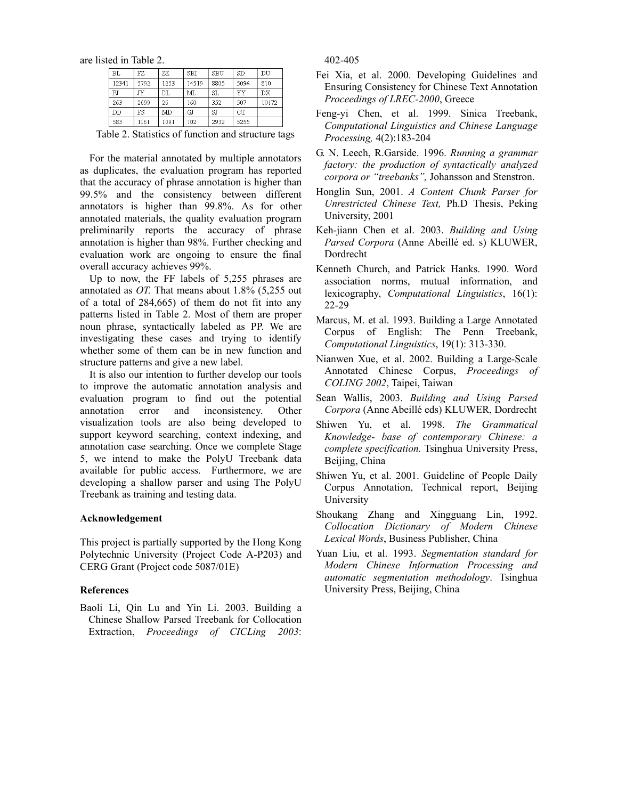are listed in Table 2.

| <b>BL</b> | FZ   | ZZ   | <b>SBI</b> | SBU  | SD   | DU    |
|-----------|------|------|------------|------|------|-------|
| 12341     | 5792 | 1253 | 14519      | 8805 | 5096 | 810   |
| FJ        | JΥ   | DL   | MТ.        | SL   | YY   | DX    |
| 263       | 2699 | 26   | 160        | 352  | 507  | 10172 |
| DD        | FS   | MD   | GJ         | SJ   | OT   |       |
| 583       | 1161 | 1091 | 102        | 2932 | 5255 |       |

Table 2. Statistics of function and structure tags

For the material annotated by multiple annotators as duplicates, the evaluation program has reported that the accuracy of phrase annotation is higher than 99.5% and the consistency between different annotators is higher than 99.8%. As for other annotated materials, the quality evaluation program preliminarily reports the accuracy of phrase annotation is higher than 98%. Further checking and evaluation work are ongoing to ensure the final overall accuracy achieves 99%.

Up to now, the FF labels of 5,255 phrases are annotated as *OT.* That means about 1.8% (5,255 out of a total of 284,665) of them do not fit into any patterns listed in Table 2. Most of them are proper noun phrase, syntactically labeled as PP. We are investigating these cases and trying to identify whether some of them can be in new function and structure patterns and give a new label.

It is also our intention to further develop our tools to improve the automatic annotation analysis and evaluation program to find out the potential annotation error and inconsistency. Other visualization tools are also being developed to support keyword searching, context indexing, and annotation case searching. Once we complete Stage 5, we intend to make the PolyU Treebank data available for public access. Furthermore, we are developing a shallow parser and using The PolyU Treebank as training and testing data.

#### **Acknowledgement**

This project is partially supported by the Hong Kong Polytechnic University (Project Code A-P203) and CERG Grant (Project code 5087/01E)

#### **References**

Baoli Li, Qin Lu and Yin Li. 2003. Building a Chinese Shallow Parsed Treebank for Collocation Extraction, *Proceedings of CICLing 2003*: 402-405

- Fei Xia, et al. 2000. Developing Guidelines and Ensuring Consistency for Chinese Text Annotation *Proceedings of LREC-2000*, Greece
- Feng-yi Chen, et al. 1999. Sinica Treebank, *Computational Linguistics and Chinese Language Processing,* 4(2):183-204
- G. N. Leech, R.Garside. 1996. *Running a grammar factory: the production of syntactically analyzed corpora or "treebanks",* Johansson and Stenstron.
- Honglin Sun, 2001. *A Content Chunk Parser for Unrestricted Chinese Text,* Ph.D Thesis, Peking University, 2001
- Keh-jiann Chen et al. 2003. *Building and Using Parsed Corpora* (Anne Abeillé ed. s) KLUWER, Dordrecht
- Kenneth Church, and Patrick Hanks. 1990. Word association norms, mutual information, and lexicography, *Computational Linguistics*, 16(1): 22-29
- Marcus, M. et al. 1993. Building a Large Annotated Corpus of English: The Penn Treebank, *Computational Linguistics*, 19(1): 313-330.
- Nianwen Xue, et al. 2002. Building a Large-Scale Annotated Chinese Corpus, *Proceedings of COLING 2002*, Taipei, Taiwan
- Sean Wallis, 2003. *Building and Using Parsed Corpora* (Anne Abeillé eds) KLUWER, Dordrecht
- Shiwen Yu, et al. 1998. *The Grammatical Knowledge- base of contemporary Chinese: a complete specification.* Tsinghua University Press, Beijing, China
- Shiwen Yu, et al. 2001. Guideline of People Daily Corpus Annotation, Technical report, Beijing University
- Shoukang Zhang and Xingguang Lin, 1992. *Collocation Dictionary of Modern Chinese Lexical Words*, Business Publisher, China
- Yuan Liu, et al. 1993. *Segmentation standard for Modern Chinese Information Processing and automatic segmentation methodology*. Tsinghua University Press, Beijing, China